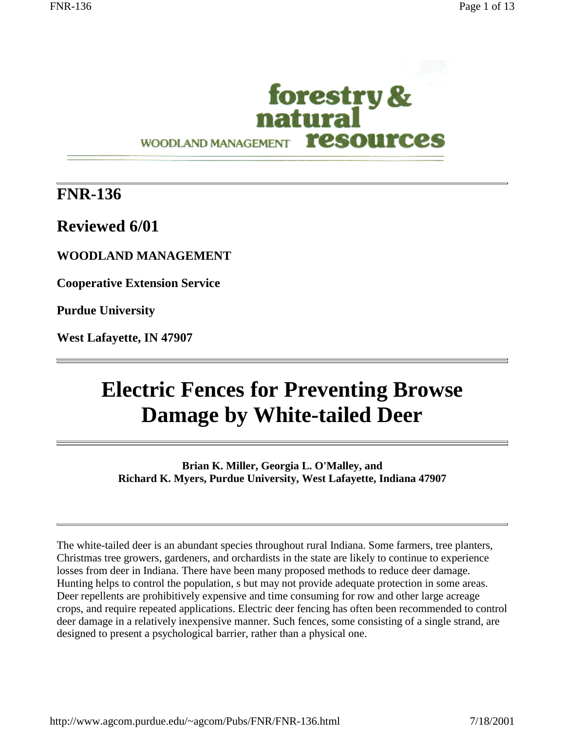

## **FNR-136**

**Reviewed 6/01**

**WOODLAND MANAGEMENT**

**Cooperative Extension Service**

**Purdue University**

**West Lafayette, IN 47907**

# **Electric Fences for Preventing Browse Damage by White-tailed Deer**

**Brian K. Miller, Georgia L. O'Malley, and Richard K. Myers, Purdue University, West Lafayette, Indiana 47907**

The white-tailed deer is an abundant species throughout rural Indiana. Some farmers, tree planters, Christmas tree growers, gardeners, and orchardists in the state are likely to continue to experience losses from deer in Indiana. There have been many proposed methods to reduce deer damage. Hunting helps to control the population, s but may not provide adequate protection in some areas. Deer repellents are prohibitively expensive and time consuming for row and other large acreage crops, and require repeated applications. Electric deer fencing has often been recommended to control deer damage in a relatively inexpensive manner. Such fences, some consisting of a single strand, are designed to present a psychological barrier, rather than a physical one.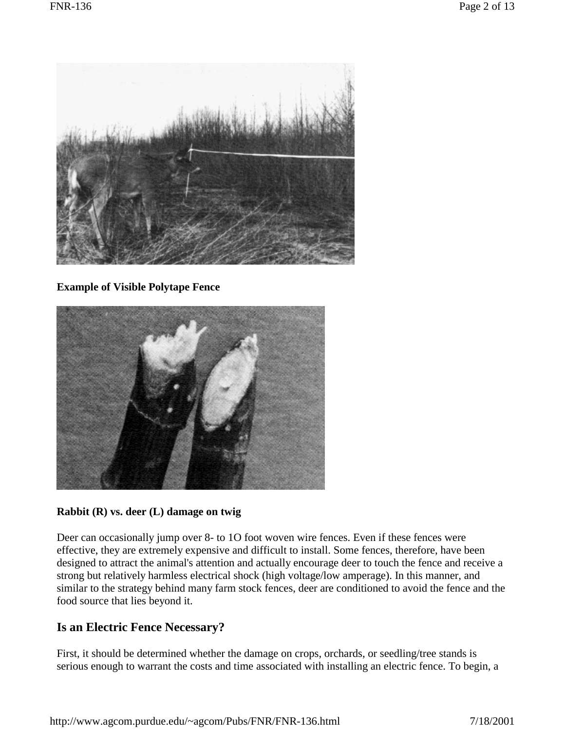

**Example of Visible Polytape Fence** 



#### **Rabbit (R) vs. deer (L) damage on twig**

Deer can occasionally jump over 8- to 1O foot woven wire fences. Even if these fences were effective, they are extremely expensive and difficult to install. Some fences, therefore, have been designed to attract the animal's attention and actually encourage deer to touch the fence and receive a strong but relatively harmless electrical shock (high voltage/low amperage). In this manner, and similar to the strategy behind many farm stock fences, deer are conditioned to avoid the fence and the food source that lies beyond it.

## **Is an Electric Fence Necessary?**

First, it should be determined whether the damage on crops, orchards, or seedling/tree stands is serious enough to warrant the costs and time associated with installing an electric fence. To begin, a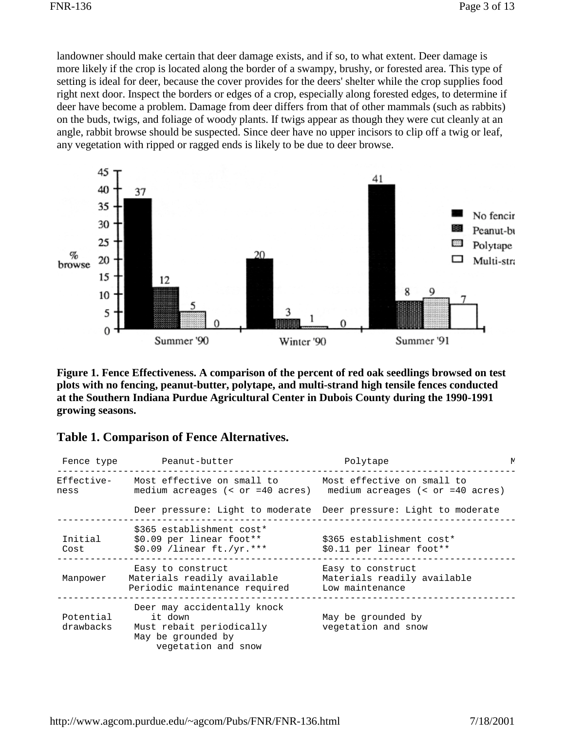landowner should make certain that deer damage exists, and if so, to what extent. Deer damage is more likely if the crop is located along the border of a swampy, brushy, or forested area. This type of setting is ideal for deer, because the cover provides for the deers' shelter while the crop supplies food right next door. Inspect the borders or edges of a crop, especially along forested edges, to determine if deer have become a problem. Damage from deer differs from that of other mammals (such as rabbits) on the buds, twigs, and foliage of woody plants. If twigs appear as though they were cut cleanly at an angle, rabbit browse should be suspected. Since deer have no upper incisors to clip off a twig or leaf, any vegetation with ripped or ragged ends is likely to be due to deer browse.



**Figure 1. Fence Effectiveness. A comparison of the percent of red oak seedlings browsed on test plots with no fencing, peanut-butter, polytape, and multi-strand high tensile fences conducted at the Southern Indiana Purdue Agricultural Center in Dubois County during the 1990-1991 growing seasons.** 

|  |  |  | <b>Table 1. Comparison of Fence Alternatives.</b> |
|--|--|--|---------------------------------------------------|
|--|--|--|---------------------------------------------------|

| Fence type             | Peanut-butter                                                                                                   | Polytape                                                                                            | N. |
|------------------------|-----------------------------------------------------------------------------------------------------------------|-----------------------------------------------------------------------------------------------------|----|
| Effective-<br>ness     | Most effective on small to                                                                                      | Most effective on small to<br>medium acreages $(<$ or =40 acres) medium acreages $(<$ or =40 acres) |    |
|                        |                                                                                                                 | Deer pressure: Light to moderate Deer pressure: Light to moderate                                   |    |
| Initial<br>Cost        | \$365 establishment cost*<br>\$0.09 per linear foot**<br>\$0.09 /linear ft./yr. ***                             | \$365 establishment cost*<br>\$0.11 per linear foot**                                               |    |
| Manpower               | Easy to construct<br>Materials readily available<br>Periodic maintenance required                               | Easy to construct<br>Materials readily available<br>Low maintenance                                 |    |
| Potential<br>drawbacks | Deer may accidentally knock<br>it down<br>Must rebait periodically<br>May be grounded by<br>vegetation and snow | May be grounded by<br>vegetation and snow                                                           |    |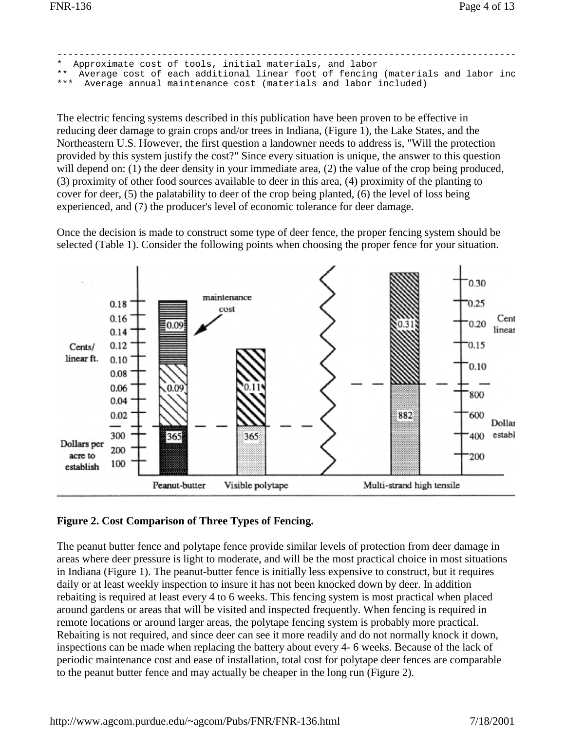|  | * Approximate cost of tools, initial materials, and labor                          |  |
|--|------------------------------------------------------------------------------------|--|
|  | ** Average cost of each additional linear foot of fencing (materials and labor inc |  |
|  | *** Average annual maintenance cost (materials and labor included)                 |  |

The electric fencing systems described in this publication have been proven to be effective in reducing deer damage to grain crops and/or trees in Indiana, (Figure 1), the Lake States, and the Northeastern U.S. However, the first question a landowner needs to address is, "Will the protection provided by this system justify the cost?" Since every situation is unique, the answer to this question will depend on: (1) the deer density in your immediate area, (2) the value of the crop being produced, (3) proximity of other food sources available to deer in this area, (4) proximity of the planting to cover for deer, (5) the palatability to deer of the crop being planted, (6) the level of loss being experienced, and (7) the producer's level of economic tolerance for deer damage.

Once the decision is made to construct some type of deer fence, the proper fencing system should be selected (Table 1). Consider the following points when choosing the proper fence for your situation.



#### **Figure 2. Cost Comparison of Three Types of Fencing.**

The peanut butter fence and polytape fence provide similar levels of protection from deer damage in areas where deer pressure is light to moderate, and will be the most practical choice in most situations in Indiana (Figure 1). The peanut-butter fence is initially less expensive to construct, but it requires daily or at least weekly inspection to insure it has not been knocked down by deer. In addition rebaiting is required at least every 4 to 6 weeks. This fencing system is most practical when placed around gardens or areas that will be visited and inspected frequently. When fencing is required in remote locations or around larger areas, the polytape fencing system is probably more practical. Rebaiting is not required, and since deer can see it more readily and do not normally knock it down, inspections can be made when replacing the battery about every 4- 6 weeks. Because of the lack of periodic maintenance cost and ease of installation, total cost for polytape deer fences are comparable to the peanut butter fence and may actually be cheaper in the long run (Figure 2).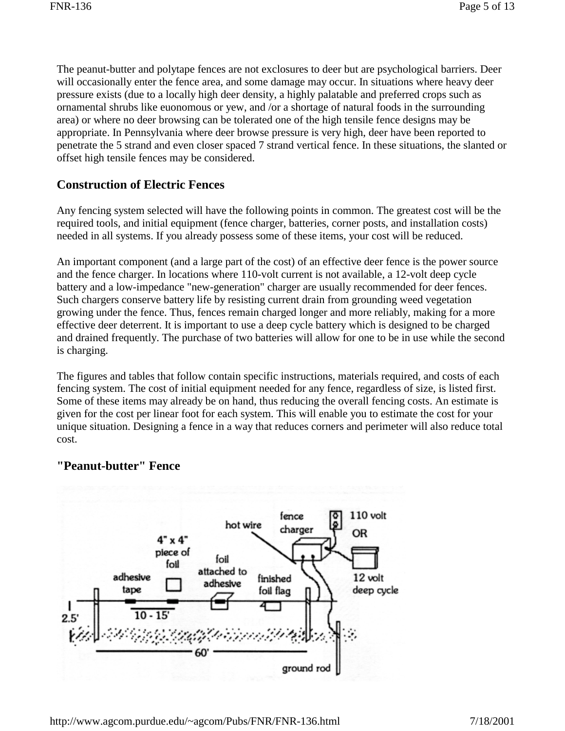The peanut-butter and polytape fences are not exclosures to deer but are psychological barriers. Deer will occasionally enter the fence area, and some damage may occur. In situations where heavy deer pressure exists (due to a locally high deer density, a highly palatable and preferred crops such as ornamental shrubs like euonomous or yew, and /or a shortage of natural foods in the surrounding area) or where no deer browsing can be tolerated one of the high tensile fence designs may be appropriate. In Pennsylvania where deer browse pressure is very high, deer have been reported to penetrate the 5 strand and even closer spaced 7 strand vertical fence. In these situations, the slanted or offset high tensile fences may be considered.

## **Construction of Electric Fences**

Any fencing system selected will have the following points in common. The greatest cost will be the required tools, and initial equipment (fence charger, batteries, corner posts, and installation costs) needed in all systems. If you already possess some of these items, your cost will be reduced.

An important component (and a large part of the cost) of an effective deer fence is the power source and the fence charger. In locations where 110-volt current is not available, a 12-volt deep cycle battery and a low-impedance "new-generation" charger are usually recommended for deer fences. Such chargers conserve battery life by resisting current drain from grounding weed vegetation growing under the fence. Thus, fences remain charged longer and more reliably, making for a more effective deer deterrent. It is important to use a deep cycle battery which is designed to be charged and drained frequently. The purchase of two batteries will allow for one to be in use while the second is charging.

The figures and tables that follow contain specific instructions, materials required, and costs of each fencing system. The cost of initial equipment needed for any fence, regardless of size, is listed first. Some of these items may already be on hand, thus reducing the overall fencing costs. An estimate is given for the cost per linear foot for each system. This will enable you to estimate the cost for your unique situation. Designing a fence in a way that reduces corners and perimeter will also reduce total cost.

## **"Peanut-butter" Fence**

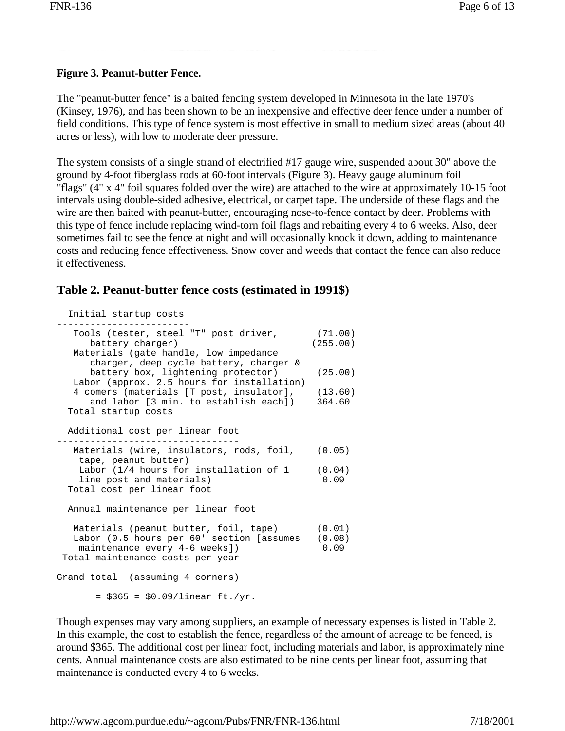#### **Figure 3. Peanut-butter Fence.**

The "peanut-butter fence" is a baited fencing system developed in Minnesota in the late 1970's (Kinsey, 1976), and has been shown to be an inexpensive and effective deer fence under a number of field conditions. This type of fence system is most effective in small to medium sized areas (about 40 acres or less), with low to moderate deer pressure.

The system consists of a single strand of electrified #17 gauge wire, suspended about 30" above the ground by 4-foot fiberglass rods at 60-foot intervals (Figure 3). Heavy gauge aluminum foil "flags" (4" x 4" foil squares folded over the wire) are attached to the wire at approximately 10-15 foot intervals using double-sided adhesive, electrical, or carpet tape. The underside of these flags and the wire are then baited with peanut-butter, encouraging nose-to-fence contact by deer. Problems with this type of fence include replacing wind-torn foil flags and rebaiting every 4 to 6 weeks. Also, deer sometimes fail to see the fence at night and will occasionally knock it down, adding to maintenance costs and reducing fence effectiveness. Snow cover and weeds that contact the fence can also reduce it effectiveness.

```
Table 2. Peanut-butter fence costs (estimated in 1991$) 
  Initial startup costs
  ------------------------
   Tools (tester, steel "T" post driver, (71.00)
    battery charger) (255.00)
   Materials (gate handle, low impedance
      charger, deep cycle battery, charger &
      battery box, lightening protector) (25.00)
   Labor (approx. 2.5 hours for installation)
   4 comers (materials [T post, insulator], (13.60)
      and labor [3 min. to establish each]) 364.60
  Total startup costs
  Additional cost per linear foot
  --------------------------------- 
  Materials (wire, insulators, rods, foil, (0.05)
    tape, peanut butter)
   Labor (1/4 hours for installation of 1 (0.04)
   line post and materials) 0.09
  Total cost per linear foot 
  Annual maintenance per linear foot
-----------------------------------
 Materials (peanut butter, foil, tape) (0.01)
 Labor (0.5 hours per 60' section [assumes (0.08)<br>maintenance every 4-6 weeks]) 0.09
  maintenance every 4-6 weeks])
 Total maintenance costs per year
Grand total (assuming 4 corners)
      = $365 = $0.09/linear ft./yr.
```
Though expenses may vary among suppliers, an example of necessary expenses is listed in Table 2. In this example, the cost to establish the fence, regardless of the amount of acreage to be fenced, is around \$365. The additional cost per linear foot, including materials and labor, is approximately nine cents. Annual maintenance costs are also estimated to be nine cents per linear foot, assuming that maintenance is conducted every 4 to 6 weeks.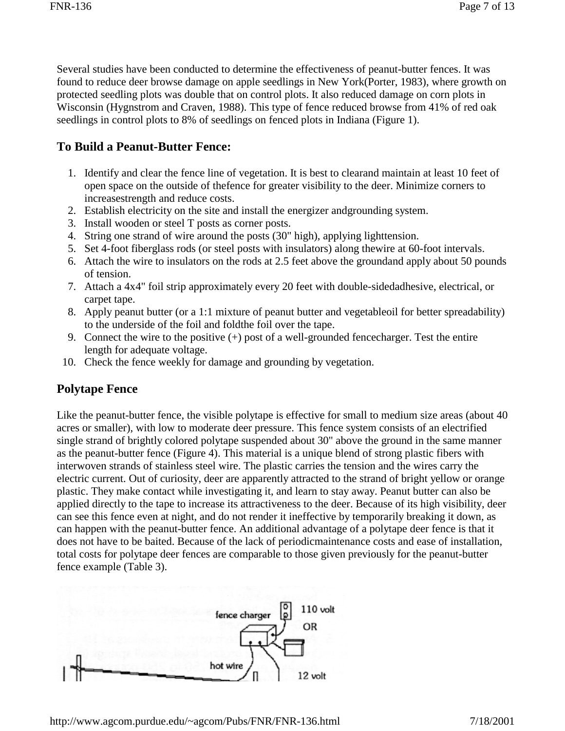Several studies have been conducted to determine the effectiveness of peanut-butter fences. It was found to reduce deer browse damage on apple seedlings in New York(Porter, 1983), where growth on protected seedling plots was double that on control plots. It also reduced damage on corn plots in Wisconsin (Hygnstrom and Craven, 1988). This type of fence reduced browse from 41% of red oak seedlings in control plots to 8% of seedlings on fenced plots in Indiana (Figure 1).

## **To Build a Peanut-Butter Fence:**

- 1. Identify and clear the fence line of vegetation. It is best to clearand maintain at least 10 feet of open space on the outside of thefence for greater visibility to the deer. Minimize corners to increasestrength and reduce costs.
- 2. Establish electricity on the site and install the energizer andgrounding system.
- 3. Install wooden or steel T posts as corner posts.
- 4. String one strand of wire around the posts (30" high), applying lighttension.
- 5. Set 4-foot fiberglass rods (or steel posts with insulators) along thewire at 60-foot intervals.
- 6. Attach the wire to insulators on the rods at 2.5 feet above the groundand apply about 50 pounds of tension.
- 7. Attach a 4x4" foil strip approximately every 20 feet with double-sidedadhesive, electrical, or carpet tape.
- 8. Apply peanut butter (or a 1:1 mixture of peanut butter and vegetableoil for better spreadability) to the underside of the foil and foldthe foil over the tape.
- 9. Connect the wire to the positive  $(+)$  post of a well-grounded fence charger. Test the entire length for adequate voltage.
- 10. Check the fence weekly for damage and grounding by vegetation.

## **Polytape Fence**

Like the peanut-butter fence, the visible polytape is effective for small to medium size areas (about 40 acres or smaller), with low to moderate deer pressure. This fence system consists of an electrified single strand of brightly colored polytape suspended about 30" above the ground in the same manner as the peanut-butter fence (Figure 4). This material is a unique blend of strong plastic fibers with interwoven strands of stainless steel wire. The plastic carries the tension and the wires carry the electric current. Out of curiosity, deer are apparently attracted to the strand of bright yellow or orange plastic. They make contact while investigating it, and learn to stay away. Peanut butter can also be applied directly to the tape to increase its attractiveness to the deer. Because of its high visibility, deer can see this fence even at night, and do not render it ineffective by temporarily breaking it down, as can happen with the peanut-butter fence. An additional advantage of a polytape deer fence is that it does not have to be baited. Because of the lack of periodicmaintenance costs and ease of installation, total costs for polytape deer fences are comparable to those given previously for the peanut-butter fence example (Table 3).

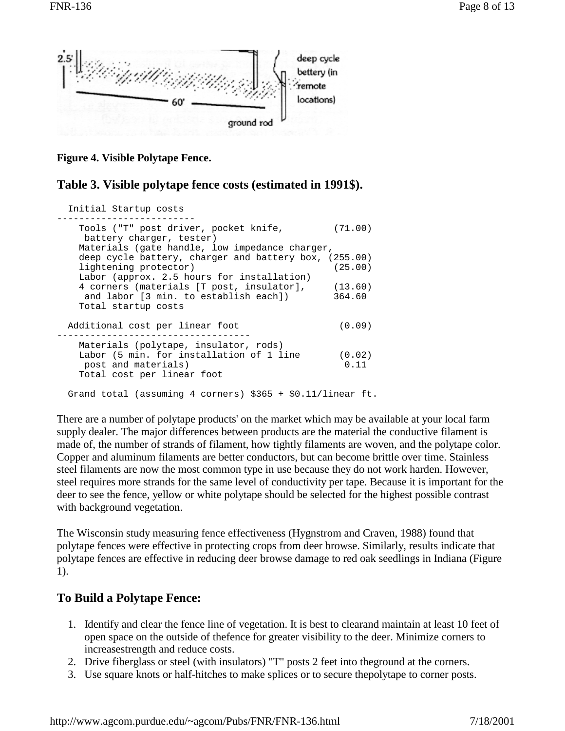

**Figure 4. Visible Polytape Fence.** 

#### **Table 3. Visible polytape fence costs (estimated in 1991\$).**

| Initial Startup costs                                             |         |
|-------------------------------------------------------------------|---------|
| Tools ("T" post driver, pocket knife,<br>battery charger, tester) | (71.00) |
| Materials (gate handle, low impedance charger,                    |         |
| deep cycle battery, charger and battery box, (255.00)             |         |
| lightening protector)                                             | (25.00) |
| Labor (approx. 2.5 hours for installation)                        |         |
| 4 corners (materials [T post, insulator],                         | (13.60) |
| and labor [3 min. to establish each])                             | 364.60  |
| Total startup costs                                               |         |
|                                                                   |         |
| Additional cost per linear foot                                   | (0.09)  |
|                                                                   |         |
| Materials (polytape, insulator, rods)                             |         |
| Labor (5 min. for installation of 1 line                          | (0.02)  |
| post and materials)                                               | 0.11    |
| Total cost per linear foot                                        |         |
| Grand total (assuming 4 corners) $$365 + $0.11/linear$ ft.        |         |

There are a number of polytape products' on the market which may be available at your local farm supply dealer. The major differences between products are the material the conductive filament is made of, the number of strands of filament, how tightly filaments are woven, and the polytape color. Copper and aluminum filaments are better conductors, but can become brittle over time. Stainless steel filaments are now the most common type in use because they do not work harden. However, steel requires more strands for the same level of conductivity per tape. Because it is important for the deer to see the fence, yellow or white polytape should be selected for the highest possible contrast with background vegetation.

The Wisconsin study measuring fence effectiveness (Hygnstrom and Craven, 1988) found that polytape fences were effective in protecting crops from deer browse. Similarly, results indicate that polytape fences are effective in reducing deer browse damage to red oak seedlings in Indiana (Figure 1).

## **To Build a Polytape Fence:**

- 1. Identify and clear the fence line of vegetation. It is best to clearand maintain at least 10 feet of open space on the outside of thefence for greater visibility to the deer. Minimize corners to increasestrength and reduce costs.
- 2. Drive fiberglass or steel (with insulators) "T" posts 2 feet into theground at the corners.
- 3. Use square knots or half-hitches to make splices or to secure thepolytape to corner posts.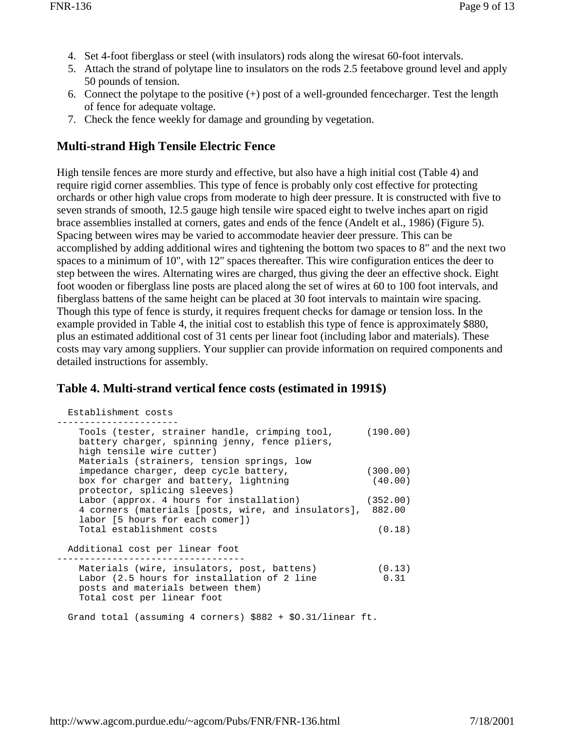- 4. Set 4-foot fiberglass or steel (with insulators) rods along the wiresat 60-foot intervals.
- 5. Attach the strand of polytape line to insulators on the rods 2.5 feetabove ground level and apply 50 pounds of tension.
- 6. Connect the polytape to the positive  $(+)$  post of a well-grounded fence charger. Test the length of fence for adequate voltage.
- 7. Check the fence weekly for damage and grounding by vegetation.

## **Multi-strand High Tensile Electric Fence**

High tensile fences are more sturdy and effective, but also have a high initial cost (Table 4) and require rigid corner assemblies. This type of fence is probably only cost effective for protecting orchards or other high value crops from moderate to high deer pressure. It is constructed with five to seven strands of smooth, 12.5 gauge high tensile wire spaced eight to twelve inches apart on rigid brace assemblies installed at corners, gates and ends of the fence (Andelt et al., 1986) (Figure 5). Spacing between wires may be varied to accommodate heavier deer pressure. This can be accomplished by adding additional wires and tightening the bottom two spaces to 8" and the next two spaces to a minimum of 10", with 12" spaces thereafter. This wire configuration entices the deer to step between the wires. Alternating wires are charged, thus giving the deer an effective shock. Eight foot wooden or fiberglass line posts are placed along the set of wires at 60 to 100 foot intervals, and fiberglass battens of the same height can be placed at 30 foot intervals to maintain wire spacing. Though this type of fence is sturdy, it requires frequent checks for damage or tension loss. In the example provided in Table 4, the initial cost to establish this type of fence is approximately \$880, plus an estimated additional cost of 31 cents per linear foot (including labor and materials). These costs may vary among suppliers. Your supplier can provide information on required components and detailed instructions for assembly.

## **Table 4. Multi-strand vertical fence costs (estimated in 1991\$)**

| Establishment costs                                                                                                                    |          |
|----------------------------------------------------------------------------------------------------------------------------------------|----------|
| Tools (tester, strainer handle, crimping tool, (190.00)<br>battery charger, spinning jenny, fence pliers,<br>high tensile wire cutter) |          |
| Materials (strainers, tension springs, low                                                                                             |          |
| impedance charger, deep cycle battery,                                                                                                 | (300.00) |
| box for charger and battery, lightning<br>protector, splicing sleeves)                                                                 | (40.00)  |
| Labor (approx. 4 hours for installation)                                                                                               | (352.00) |
| 4 corners (materials [posts, wire, and insulators], 882.00                                                                             |          |
| labor [5 hours for each comer])                                                                                                        |          |
| Total establishment costs                                                                                                              | (0.18)   |
| Additional cost per linear foot                                                                                                        |          |
| Materials (wire, insulators, post, battens)                                                                                            | (0.13)   |
| Labor (2.5 hours for installation of 2 line                                                                                            | 0.31     |
| posts and materials between them)<br>Total cost per linear foot                                                                        |          |
| Grand total (assuming 4 corners) $$882 + $0.31/linear$ ft.                                                                             |          |
|                                                                                                                                        |          |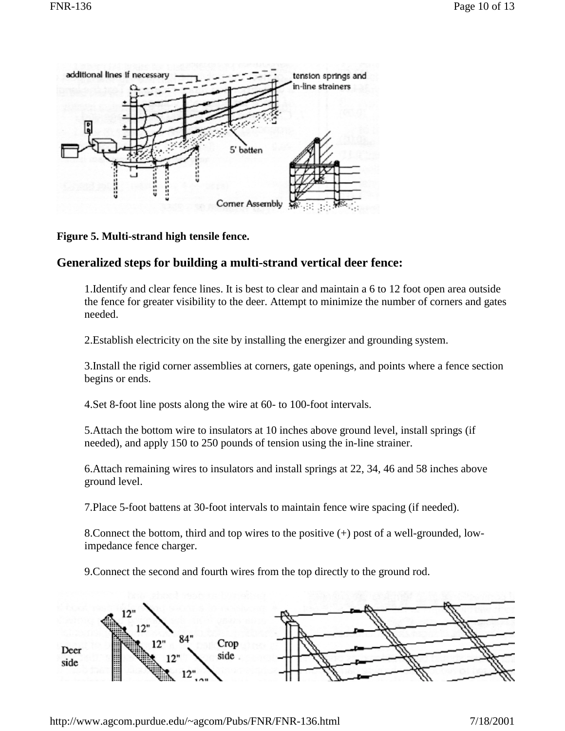

**Figure 5. Multi-strand high tensile fence.** 

## **Generalized steps for building a multi-strand vertical deer fence:**

1.Identify and clear fence lines. It is best to clear and maintain a 6 to 12 foot open area outside the fence for greater visibility to the deer. Attempt to minimize the number of corners and gates needed.

2.Establish electricity on the site by installing the energizer and grounding system.

3.Install the rigid corner assemblies at corners, gate openings, and points where a fence section begins or ends.

4.Set 8-foot line posts along the wire at 60- to 100-foot intervals.

5.Attach the bottom wire to insulators at 10 inches above ground level, install springs (if needed), and apply 150 to 250 pounds of tension using the in-line strainer.

6.Attach remaining wires to insulators and install springs at 22, 34, 46 and 58 inches above ground level.

7.Place 5-foot battens at 30-foot intervals to maintain fence wire spacing (if needed).

8.Connect the bottom, third and top wires to the positive (+) post of a well-grounded, lowimpedance fence charger.

9.Connect the second and fourth wires from the top directly to the ground rod.

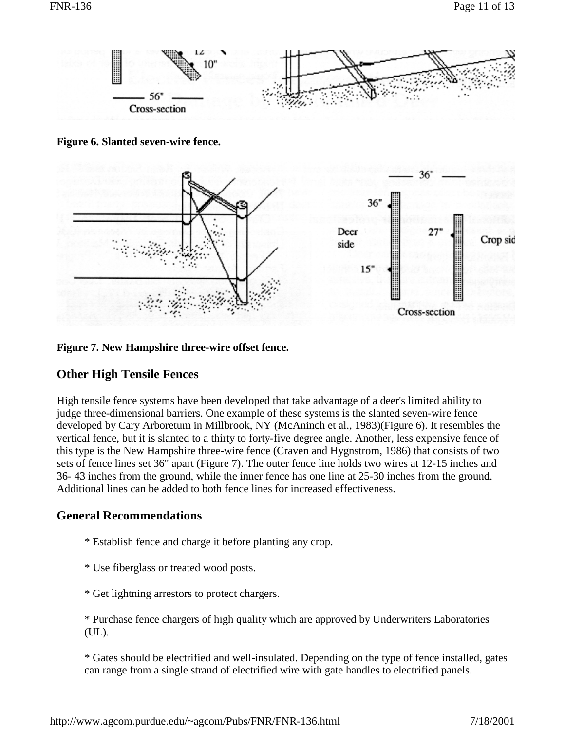

**Figure 6. Slanted seven-wire fence.** 



**Figure 7. New Hampshire three-wire offset fence.** 

## **Other High Tensile Fences**

High tensile fence systems have been developed that take advantage of a deer's limited ability to judge three-dimensional barriers. One example of these systems is the slanted seven-wire fence developed by Cary Arboretum in Millbrook, NY (McAninch et al., 1983)(Figure 6). It resembles the vertical fence, but it is slanted to a thirty to forty-five degree angle. Another, less expensive fence of this type is the New Hampshire three-wire fence (Craven and Hygnstrom, 1986) that consists of two sets of fence lines set 36" apart (Figure 7). The outer fence line holds two wires at 12-15 inches and 36- 43 inches from the ground, while the inner fence has one line at 25-30 inches from the ground. Additional lines can be added to both fence lines for increased effectiveness.

## **General Recommendations**

- \* Establish fence and charge it before planting any crop.
- \* Use fiberglass or treated wood posts.
- \* Get lightning arrestors to protect chargers.

\* Purchase fence chargers of high quality which are approved by Underwriters Laboratories (UL).

\* Gates should be electrified and well-insulated. Depending on the type of fence installed, gates can range from a single strand of electrified wire with gate handles to electrified panels.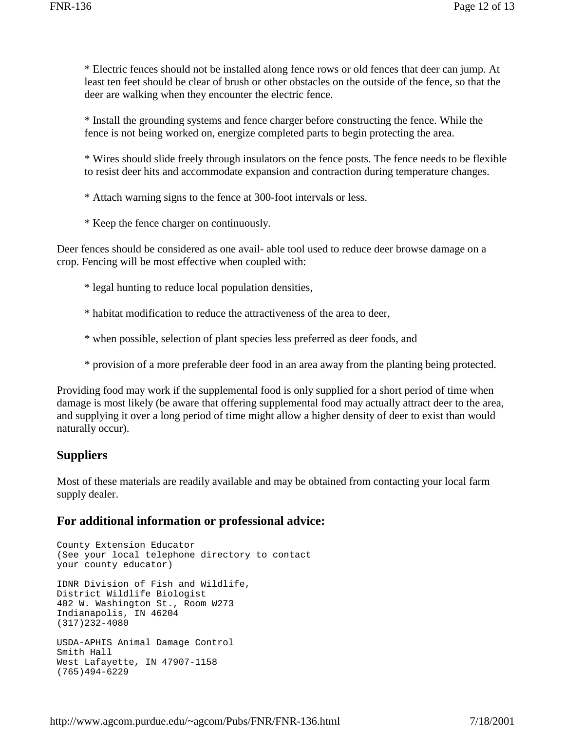\* Electric fences should not be installed along fence rows or old fences that deer can jump. At least ten feet should be clear of brush or other obstacles on the outside of the fence, so that the deer are walking when they encounter the electric fence.

\* Install the grounding systems and fence charger before constructing the fence. While the fence is not being worked on, energize completed parts to begin protecting the area.

\* Wires should slide freely through insulators on the fence posts. The fence needs to be flexible to resist deer hits and accommodate expansion and contraction during temperature changes.

\* Attach warning signs to the fence at 300-foot intervals or less.

\* Keep the fence charger on continuously.

Deer fences should be considered as one avail- able tool used to reduce deer browse damage on a crop. Fencing will be most effective when coupled with:

\* legal hunting to reduce local population densities,

\* habitat modification to reduce the attractiveness of the area to deer,

\* when possible, selection of plant species less preferred as deer foods, and

\* provision of a more preferable deer food in an area away from the planting being protected.

Providing food may work if the supplemental food is only supplied for a short period of time when damage is most likely (be aware that offering supplemental food may actually attract deer to the area, and supplying it over a long period of time might allow a higher density of deer to exist than would naturally occur).

## **Suppliers**

Most of these materials are readily available and may be obtained from contacting your local farm supply dealer.

#### **For additional information or professional advice:**

County Extension Educator (See your local telephone directory to contact your county educator) IDNR Division of Fish and Wildlife, District Wildlife Biologist 402 W. Washington St., Room W273 Indianapolis, IN 46204 (317)232-4080 USDA-APHIS Animal Damage Control Smith Hall West Lafayette, IN 47907-1158 (765)494-6229